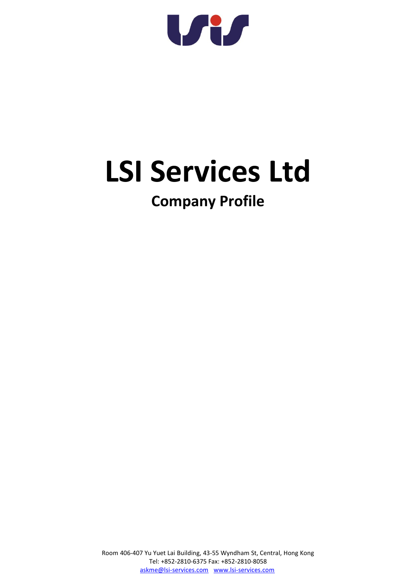W

# **LSI Services Ltd**

## **Company Profile**

Room 406-407 Yu Yuet Lai Building, 43-55 Wyndham St, Central, Hong Kong Tel: +852-2810-6375 Fax: +852-2810-8058 [askme@lsi-services.com](mailto:askme@lsi-services.com) [www.lsi-services.com](http://www.lsi-services.com/)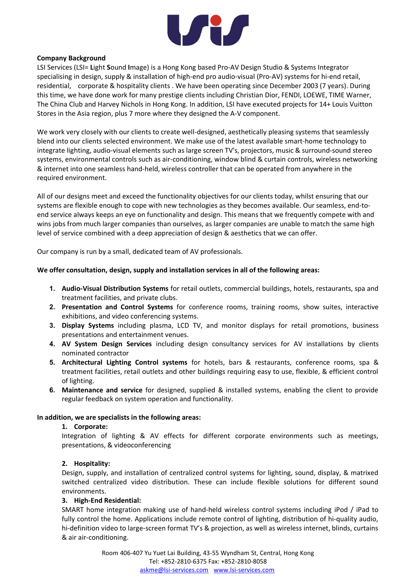

### **Company Background**

LSI Services (LSI= **L**ight **S**ound **I**mage) is a Hong Kong based Pro-AV Design Studio & Systems Integrator specialising in design, supply & installation of high-end pro audio-visual (Pro-AV) systems for hi-end retail, residential, corporate & hospitality clients . We have been operating since December 2003 (7 years). During this time, we have done work for many prestige clients including Christian Dior, FENDI, LOEWE, TIME Warner, The China Club and Harvey Nichols in Hong Kong. In addition, LSI have executed projects for 14+ Louis Vuitton Stores in the Asia region, plus 7 more where they designed the A-V component.

We work very closely with our clients to create well-designed, aesthetically pleasing systems that seamlessly blend into our clients selected environment. We make use of the latest available smart-home technology to integrate lighting, audio-visual elements such as large screen TV's, projectors, music & surround-sound stereo systems, environmental controls such as air-conditioning, window blind & curtain controls, wireless networking & internet into one seamless hand-held, wireless controller that can be operated from anywhere in the required environment.

All of our designs meet and exceed the functionality objectives for our clients today, whilst ensuring that our systems are flexible enough to cope with new technologies as they becomes available. Our seamless, end-toend service always keeps an eye on functionality and design. This means that we frequently compete with and wins jobs from much larger companies than ourselves, as larger companies are unable to match the same high level of service combined with a deep appreciation of design & aesthetics that we can offer.

Our company is run by a small, dedicated team of AV professionals.

### **We offer consultation, design, supply and installation services in all of the following areas:**

- **1. Audio-Visual Distribution Systems** for retail outlets, commercial buildings, hotels, restaurants, spa and treatment facilities, and private clubs.
- **2. Presentation and Control Systems** for conference rooms, training rooms, show suites, interactive exhibitions, and video conferencing systems.
- **3. Display Systems** including plasma, LCD TV, and monitor displays for retail promotions, business presentations and entertainment venues.
- **4. AV System Design Services** including design consultancy services for AV installations by clients nominated contractor
- **5. Architectural Lighting Control systems** for hotels, bars & restaurants, conference rooms, spa & treatment facilities, retail outlets and other buildings requiring easy to use, flexible, & efficient control of lighting.
- **6. Maintenance and service** for designed, supplied & installed systems, enabling the client to provide regular feedback on system operation and functionality.

### **In addition, we are specialists in the following areas:**

### **1. Corporate:**

Integration of lighting & AV effects for different corporate environments such as meetings, presentations, & videoconferencing

### **2. Hospitality:**

Design, supply, and installation of centralized control systems for lighting, sound, display, & matrixed switched centralized video distribution. These can include flexible solutions for different sound environments.

### **3. High-End Residential:**

SMART home integration making use of hand-held wireless control systems including iPod / iPad to fully control the home. Applications include remote control of lighting, distribution of hi-quality audio, hi-definition video to large-screen format TV's & projection, as well as wireless internet, blinds, curtains & air air-conditioning.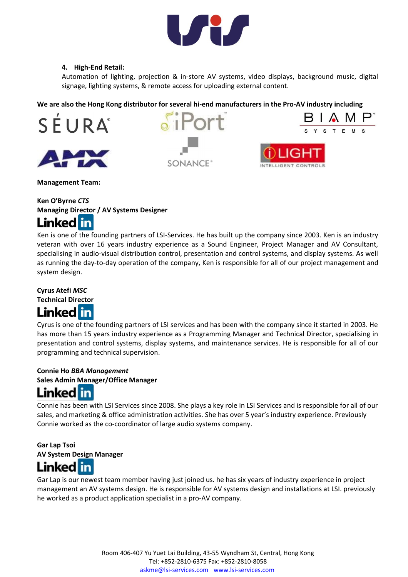

### **4. High-End Retail:**

Automation of lighting, projection & in-store AV systems, video displays, background music, digital signage, lighting systems, & remote access for uploading external content.

**We are also the Hong Kong distributor for several hi-end manufacturers in the Pro-AV industry including**





Port **SONANCE®** 



**Management Team:** 

### **Ken O'Byrne** *CTS* **Managing Director / AV Systems Designer Linked** in

Ken is one of the founding partners of LSI-Services. He has built up the company since 2003. Ken is an industry veteran with over 16 years industry experience as a Sound Engineer, Project Manager and AV Consultant, specialising in audio-visual distribution control, presentation and control systems, and display systems. As well as running the day-to-day operation of the company, Ken is responsible for all of our project management and system design.

### **Cyrus Atefi** *MSC*

**Technical Director**



Cyrus is one of the founding partners of LSI services and has been with the company since it started in 2003. He has more than 15 years industry experience as a Programming Manager and Technical Director, specialising in presentation and control systems, display systems, and maintenance services. He is responsible for all of our programming and technical supervision.

## **Connie Ho** *BBA Management*

**Sales Admin Manager/Office Manager** 



Connie has been with LSI Services since 2008. She plays a key role in LSI Services and is responsible for all of our sales, and marketing & office administration activities. She has over 5 year's industry experience. Previously Connie worked as the co-coordinator of large audio systems company.

**Gar Lap Tsoi AV System Design Manager Linked** in

Gar Lap is our newest team member having just joined us. he has six years of industry experience in project management an AV systems design. He is responsible for AV systems design and installations at LSI. previously he worked as a product application specialist in a pro-AV company.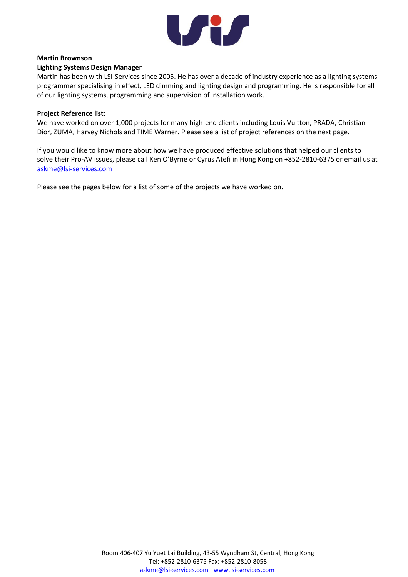

### **Martin Brownson**

### **Lighting Systems Design Manager**

Martin has been with LSI-Services since 2005. He has over a decade of industry experience as a lighting systems programmer specialising in effect, LED dimming and lighting design and programming. He is responsible for all of our lighting systems, programming and supervision of installation work.

### **Project Reference list:**

We have worked on over 1,000 projects for many high-end clients including Louis Vuitton, PRADA, Christian Dior, ZUMA, Harvey Nichols and TIME Warner. Please see a list of project references on the next page.

If you would like to know more about how we have produced effective solutions that helped our clients to solve their Pro-AV issues, please call Ken O'Byrne or Cyrus Atefi in Hong Kong on +852-2810-6375 or email us at [askme@lsi-services.com](mailto:askme@lsi-services.com)

Please see the pages below for a list of some of the projects we have worked on.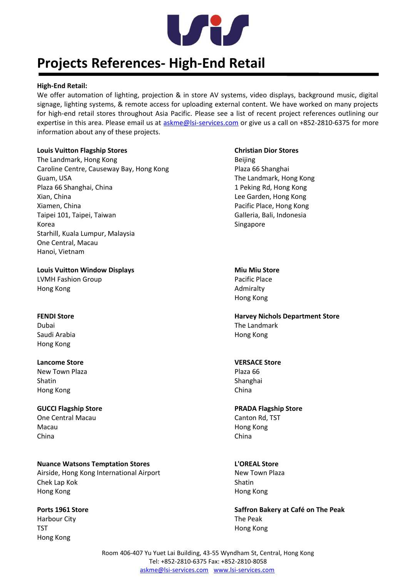

## **Projects References- High-End Retail**

### **High-End Retail:**

We offer automation of lighting, projection & in store AV systems, video displays, background music, digital signage, lighting systems, & remote access for uploading external content. We have worked on many projects for high-end retail stores throughout Asia Pacific. Please see a list of recent project references outlining our expertise in this area. Please email us at [askme@lsi-services.com](mailto:askme@lsi-services.com) or give us a call on +852-2810-6375 for more information about any of these projects.

### **Louis Vuitton Flagship Stores Christian Dior Stores**

The Landmark, Hong Kong Beijing Caroline Centre, Causeway Bay, Hong Kong Plaza 66 Shanghai Guam, USA Guam, USA Plaza 66 Shanghai, China 1 Peking Rd, Hong Kong Xian, China Lee Garden, Hong Kong Xiamen, China Pacific Place, Hong Kong Taipei 101, Taipei, Taiwan Galleria, Bali, Indonesia Korea Singapore Starhill, Kuala Lumpur, Malaysia One Central, Macau Hanoi, Vietnam

### **Louis Vuitton Window Displays Miu Miu Store**

LVMH Fashion Group **Pacific Place** Hong Kong **Admiralty** 

Saudi Arabia Hong Kong Hong Kong

### **Lancome Store VERSACE Store**

New Town Plaza **Plaza Reserves and Allie Plaza 66** Shatin Shatin Shanghai Shanghai Shanghai Shanghai Shanghai Shanghai Shanghai Shanghai Shanghai Shanghai Shanghai Shanghai Shanghai Shanghai Shanghai Shanghai Shanghai Shanghai Shanghai Shanghai Shanghai Shanghai Shanghai S Hong Kong China and the China and the China and the China and the China and the China and the China and the China

### **GUCCI Flagship Store PRADA Flagship Store One Central Macau Canton Rd, TST** Canton Rd, TST Macau Hong Kong China China

**Nuance Watsons Temptation Stores L'OREAL Store** Airside, Hong Kong International Airport New Town Plaza Chek Lap Kok Shatin Shatin Shatin Shatin Shatin Shatin Shatin Shatin Shatin Shatin Shatin Shatin Shatin Shatin Hong Kong Hong Kong

Harbour City The Peak TST **Hong Kong** Hong Kong

Hong Kong

**FENDI Store Harvey Nichols Department Store** Dubai The Landmark

**Ports 1961 Store Saffron Bakery at Café on The Peak**

Room 406-407 Yu Yuet Lai Building, 43-55 Wyndham St, Central, Hong Kong Tel: +852-2810-6375 Fax: +852-2810-8058 [askme@lsi-services.com](mailto:askme@lsi-services.com) [www.lsi-services.com](http://www.lsi-services.com/)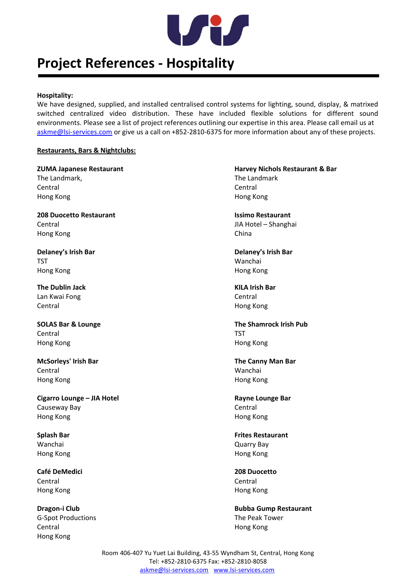

## **Project References - Hospitality**

### **Hospitality:**

We have designed, supplied, and installed centralised control systems for lighting, sound, display, & matrixed switched centralized video distribution. These have included flexible solutions for different sound environments. Please see a list of project references outlining our expertise in this area. Please call email us at [askme@lsi-services.com](mailto:askme@lsi-services.com) or give us a call on +852-2810-6375 for more information about any of these projects.

### **Restaurants, Bars & Nightclubs:**

The Landmark, The Landmark, The Landmark, The Landmark Central Central Hong Kong Hong Kong

**208 Duocetto Restaurant Issimo Restaurant** Central JIA Hotel – Shanghai Hong Kong China China China China China China China China China China China China China China China China China

**Delaney's Irish Bar Delaney's Irish Bar** TST Wanchai Hong Kong Hong Kong

**The Dublin Jack KILA Irish Bar** Lan Kwai Fong Central Central Hong Kong

Central TST Hong Kong Hong Kong

**McSorleys' Irish Bar The Canny Man Bar** Central Wanchai Hong Kong Hong Kong

**Cigarro Lounge – JIA Hotel Rayne Lounge Bar** Causeway Bay Central Hong Kong Hong Kong

Wanchai Quarry Bay Hong Kong Hong Kong

**Café DeMedici 208 Duocetto** Central Central Hong Kong Hong Kong

G-Spot Productions The Peak Tower Central Hong Kong Hong Kong

**ZUMA Japanese Restaurant Mateur Advisors Advisors Agent Arrangement Communist Parish Parish Parish Parish Parish Parish Parish Parish Parish Parish Parish Parish Parish Parish Parish Parish Parish Parish Parish Parish Par** 

**SOLAS Bar & Lounge The Shamrock Irish Pub**

**Splash Bar Frites Restaurant**

**Dragon-i Club Bubba Gump Restaurant Bubba Gump Restaurant** 

Room 406-407 Yu Yuet Lai Building, 43-55 Wyndham St, Central, Hong Kong Tel: +852-2810-6375 Fax: +852-2810-8058 [askme@lsi-services.com](mailto:askme@lsi-services.com) [www.lsi-services.com](http://www.lsi-services.com/)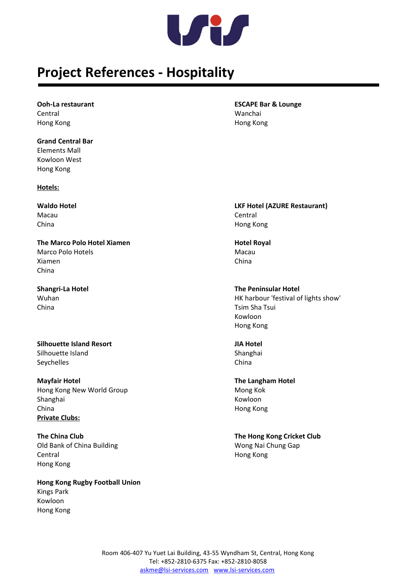

## **Project References - Hospitality**

Central Wanchai Hong Kong Hong Kong

**Grand Central Bar** Elements Mall Kowloon West Hong Kong

**Hotels:**

Macau **Central** China Hong Kong

**The Marco Polo Hotel Xiamen Hotel Royal** Marco Polo Hotels **Macau** Xiamen China China

China Tsim Sha Tsui

**Silhouette Island Resort JIA Hotel** Silhouette Island Silhouette Island Seychelles China

**Mayfair Hotel The Langham Hotel**  Hong Kong New World Group Mong Kok Shanghai Kowloon Nashari Kowloon Nashari Kowloon Nashari Kowloon Nashari Kowloon China Hong Kong **Private Clubs:**

Old Bank of China Building Wong Nai Chung Gap Central Hong Kong Hong Kong

**Hong Kong Rugby Football Union** Kings Park Kowloon Hong Kong

**Ooh-La restaurant ESCAPE Bar & Lounge**

**Waldo Hotel LKF Hotel (AZURE Restaurant)**

**Shangri-La Hotel The Peninsular Hotel** Wuhan Wuhan HK harbour 'festival of lights show' Kowloon Hong Kong

**The China Club The Hong Kong Cricket Club**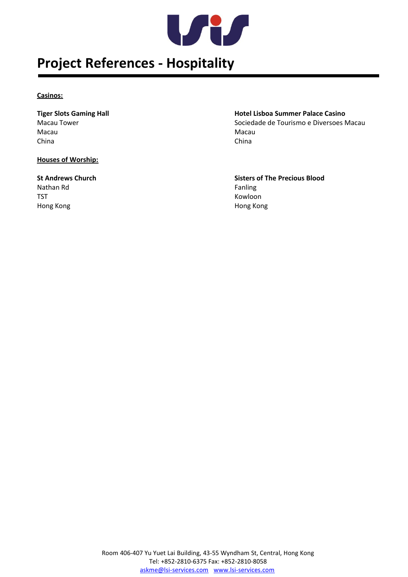

## **Project References - Hospitality**

### **Casinos:**

Macau **Macau** Macau Macau Macau Macau Macau Macau Macau Macau Macau Macau Macau Macau Macau Macau Macau Macau Macau Macau Macau Macau Macau Macau Macau Macau Macau Macau Macau Macau Macau Macau Macau Macau Macau Macau Maca China China

### **Houses of Worship:**

Nathan Rd<br>
Fanling TST Kowloon Hong Kong Hong Kong

## **Tiger Slots Gaming Hall Hotel Lisboa Summer Palace Casino** Macau Tower Sociedade de Tourismo e Diversoes Macau

**St Andrews Church Sisters of The Precious Blood**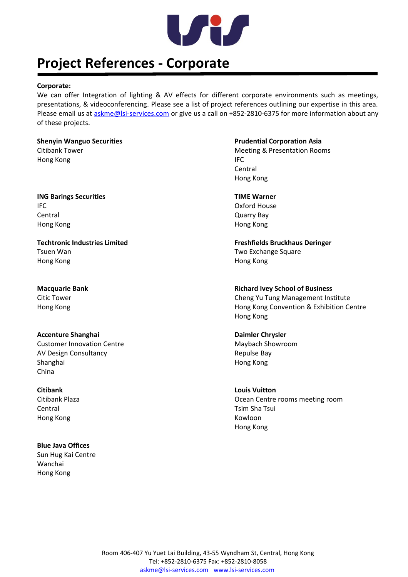

## **Project References - Corporate**

### **Corporate:**

We can offer Integration of lighting & AV effects for different corporate environments such as meetings, presentations, & videoconferencing. Please see a list of project references outlining our expertise in this area. Please email us at [askme@lsi-services.com](mailto:askme@lsi-services.com) or give us a call on +852-2810-6375 for more information about any of these projects.

Hong Kong **IFC** 

**ING Barings Securities TIME Warner** IFC Oxford House **Central Quarry Bay** Hong Kong Hong Kong

Tsuen Wan Two Exchange Square Hong Kong Hong Kong

**Accenture Shanghai Daimler Chrysler** Customer Innovation Centre **Maybach Showroom** Maybach Showroom AV Design Consultancy **Repulse Bay** Shanghai **Hong Kong** China

**Citibank Louis Vuitton**  Central Tsim Sha Tsui Hong Kong Kowloon

**Blue Java Offices** Sun Hug Kai Centre Wanchai Hong Kong

**Shenyin Wanguo Securities Prudential Corporation Asia** Citibank Tower **Meeting & Presentation Rooms Citibank Tower** Meeting & Presentation Rooms Central Hong Kong

**Techtronic Industries Limited Freshfields Bruckhaus Deringer**

**Macquarie Bank Community Community Community Community Community Community Community Community Community Community Community Community Community Community Community Community Community Community Community Community Commun** Citic Tower Cheng Yu Tung Management Institute Hong Kong Hong Kong Convention & Exhibition Centre Hong Kong

Citibank Plaza Ocean Centre rooms meeting room Hong Kong